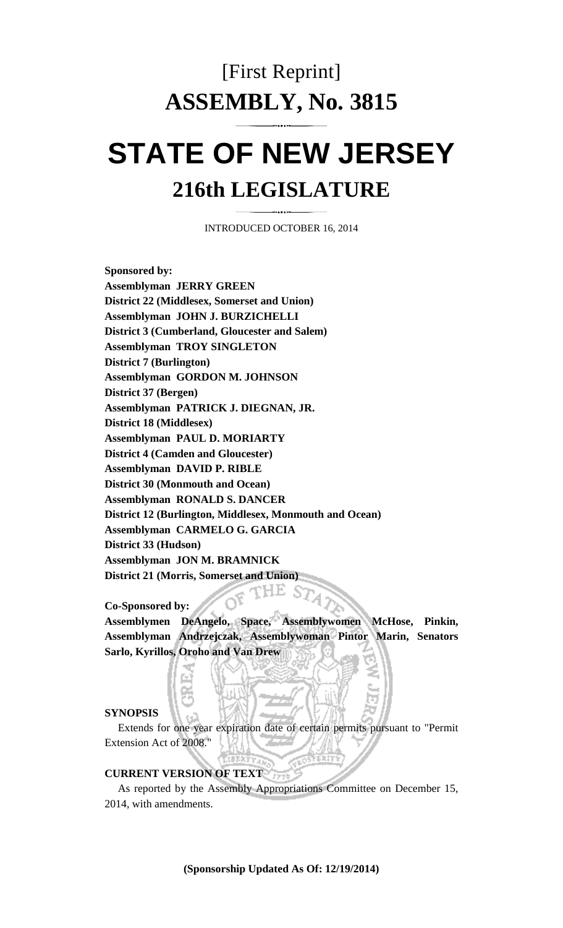# [First Reprint] **ASSEMBLY, No. 3815**

# **STATE OF NEW JERSEY 216th LEGISLATURE**

INTRODUCED OCTOBER 16, 2014

**Sponsored by: Assemblyman JERRY GREEN District 22 (Middlesex, Somerset and Union) Assemblyman JOHN J. BURZICHELLI District 3 (Cumberland, Gloucester and Salem) Assemblyman TROY SINGLETON District 7 (Burlington) Assemblyman GORDON M. JOHNSON District 37 (Bergen) Assemblyman PATRICK J. DIEGNAN, JR. District 18 (Middlesex) Assemblyman PAUL D. MORIARTY District 4 (Camden and Gloucester) Assemblyman DAVID P. RIBLE District 30 (Monmouth and Ocean) Assemblyman RONALD S. DANCER District 12 (Burlington, Middlesex, Monmouth and Ocean) Assemblyman CARMELO G. GARCIA District 33 (Hudson) Assemblyman JON M. BRAMNICK District 21 (Morris, Somerset and Union)** 

**Co-Sponsored by:** 

**Assemblymen DeAngelo, Space, Assemblywomen McHose, Pinkin, Assemblyman Andrzejczak, Assemblywoman Pintor Marin, Senators Sarlo, Kyrillos, Oroho and Van Drew** 

#### **SYNOPSIS**

 Extends for one year expiration date of certain permits pursuant to "Permit Extension Act of 2008."

#### **CURRENT VERSION OF TEXT**

 As reported by the Assembly Appropriations Committee on December 15, 2014, with amendments.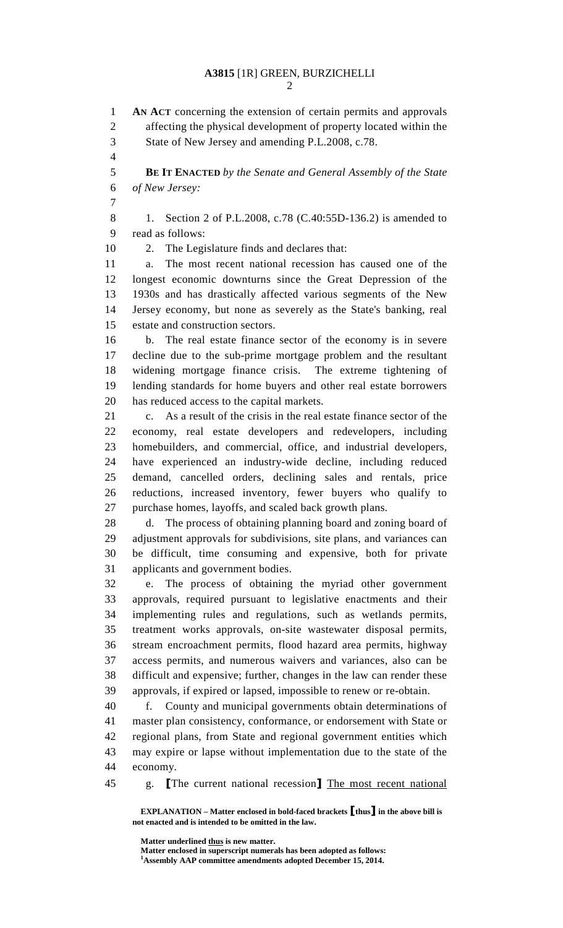2

 **EXPLANATION – Matter enclosed in bold-faced brackets** [**thus**] **in the above bill is not enacted and is intended to be omitted in the law.**  1 **AN ACT** concerning the extension of certain permits and approvals 2 affecting the physical development of property located within the 3 State of New Jersey and amending P.L.2008, c.78. 4 5 **BE IT ENACTED** *by the Senate and General Assembly of the State*  6 *of New Jersey:* 7 8 1. Section 2 of P.L.2008, c.78 (C.40:55D-136.2) is amended to 9 read as follows: 10 2. The Legislature finds and declares that: 11 a. The most recent national recession has caused one of the 12 longest economic downturns since the Great Depression of the 13 1930s and has drastically affected various segments of the New 14 Jersey economy, but none as severely as the State's banking, real 15 estate and construction sectors. 16 b. The real estate finance sector of the economy is in severe 17 decline due to the sub-prime mortgage problem and the resultant 18 widening mortgage finance crisis. The extreme tightening of 19 lending standards for home buyers and other real estate borrowers 20 has reduced access to the capital markets. 21 c. As a result of the crisis in the real estate finance sector of the 22 economy, real estate developers and redevelopers, including 23 homebuilders, and commercial, office, and industrial developers, 24 have experienced an industry-wide decline, including reduced 25 demand, cancelled orders, declining sales and rentals, price 26 reductions, increased inventory, fewer buyers who qualify to 27 purchase homes, layoffs, and scaled back growth plans. 28 d. The process of obtaining planning board and zoning board of 29 adjustment approvals for subdivisions, site plans, and variances can 30 be difficult, time consuming and expensive, both for private 31 applicants and government bodies. 32 e. The process of obtaining the myriad other government 33 approvals, required pursuant to legislative enactments and their 34 implementing rules and regulations, such as wetlands permits, 35 treatment works approvals, on-site wastewater disposal permits, 36 stream encroachment permits, flood hazard area permits, highway 37 access permits, and numerous waivers and variances, also can be 38 difficult and expensive; further, changes in the law can render these 39 approvals, if expired or lapsed, impossible to renew or re-obtain. 40 f. County and municipal governments obtain determinations of 41 master plan consistency, conformance, or endorsement with State or 42 regional plans, from State and regional government entities which 43 may expire or lapse without implementation due to the state of the 44 economy. 45 g. The current national recession] The most recent national

> Matter underlined thus is new matter.  **Matter enclosed in superscript numerals has been adopted as follows: 1 Assembly AAP committee amendments adopted December 15, 2014.**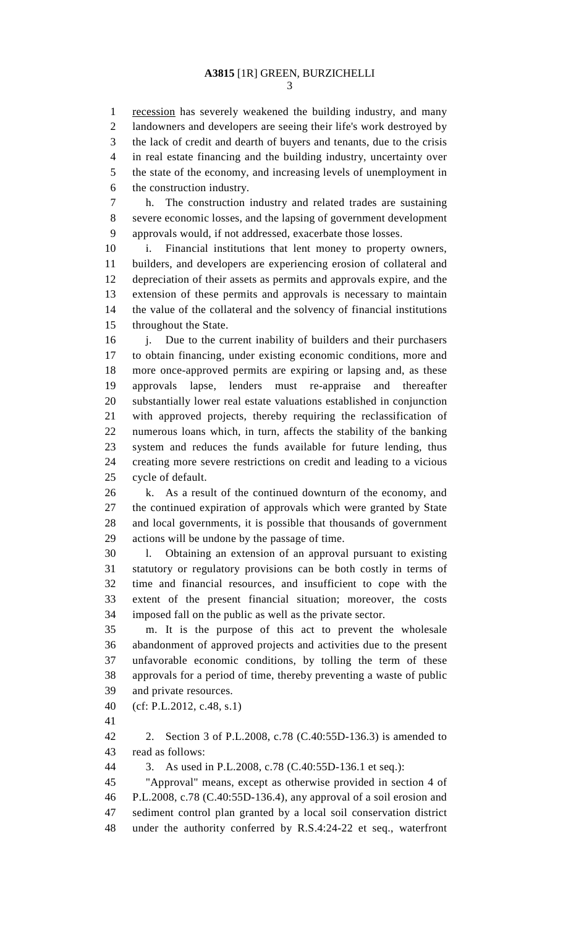3

1 recession has severely weakened the building industry, and many 2 landowners and developers are seeing their life's work destroyed by 3 the lack of credit and dearth of buyers and tenants, due to the crisis 4 in real estate financing and the building industry, uncertainty over 5 the state of the economy, and increasing levels of unemployment in 6 the construction industry.

7 h. The construction industry and related trades are sustaining 8 severe economic losses, and the lapsing of government development 9 approvals would, if not addressed, exacerbate those losses.

10 i. Financial institutions that lent money to property owners, 11 builders, and developers are experiencing erosion of collateral and 12 depreciation of their assets as permits and approvals expire, and the 13 extension of these permits and approvals is necessary to maintain 14 the value of the collateral and the solvency of financial institutions 15 throughout the State.

16 i. Due to the current inability of builders and their purchasers 17 to obtain financing, under existing economic conditions, more and 18 more once-approved permits are expiring or lapsing and, as these 19 approvals lapse, lenders must re-appraise and thereafter 20 substantially lower real estate valuations established in conjunction 21 with approved projects, thereby requiring the reclassification of 22 numerous loans which, in turn, affects the stability of the banking 23 system and reduces the funds available for future lending, thus 24 creating more severe restrictions on credit and leading to a vicious 25 cycle of default.

26 k. As a result of the continued downturn of the economy, and 27 the continued expiration of approvals which were granted by State 28 and local governments, it is possible that thousands of government 29 actions will be undone by the passage of time.

30 l. Obtaining an extension of an approval pursuant to existing 31 statutory or regulatory provisions can be both costly in terms of 32 time and financial resources, and insufficient to cope with the 33 extent of the present financial situation; moreover, the costs 34 imposed fall on the public as well as the private sector.

35 m. It is the purpose of this act to prevent the wholesale 36 abandonment of approved projects and activities due to the present 37 unfavorable economic conditions, by tolling the term of these 38 approvals for a period of time, thereby preventing a waste of public 39 and private resources.

40 (cf: P.L.2012, c.48, s.1)

41

42 2. Section 3 of P.L.2008, c.78 (C.40:55D-136.3) is amended to 43 read as follows:

44 3. As used in P.L.2008, c.78 (C.40:55D-136.1 et seq.):

45 "Approval" means, except as otherwise provided in section 4 of 46 P.L.2008, c.78 (C.40:55D-136.4), any approval of a soil erosion and 47 sediment control plan granted by a local soil conservation district 48 under the authority conferred by R.S.4:24-22 et seq., waterfront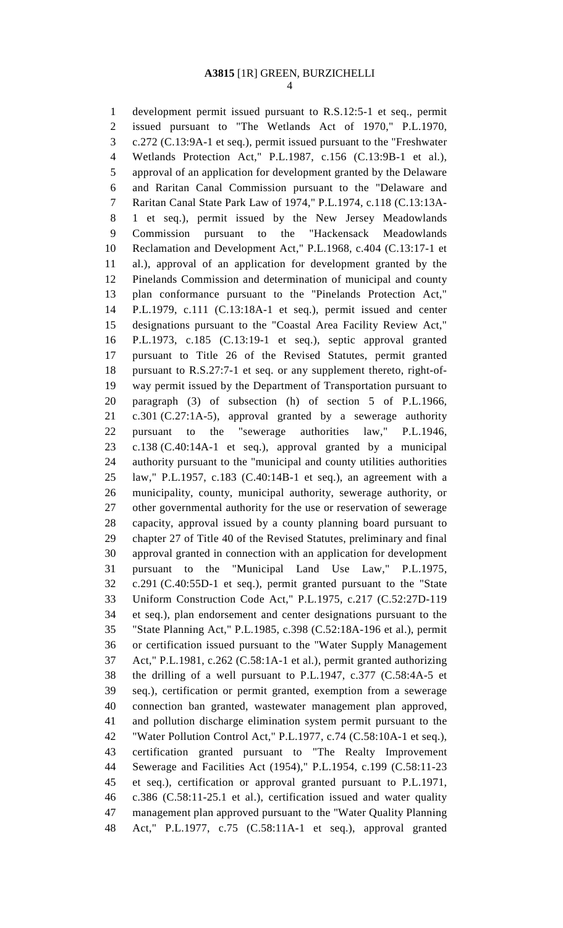## **A3815** [1R] GREEN, BURZICHELLI

4

1 development permit issued pursuant to R.S.12:5-1 et seq., permit 2 issued pursuant to "The Wetlands Act of 1970," P.L.1970, 3 c.272 (C.13:9A-1 et seq.), permit issued pursuant to the "Freshwater 4 Wetlands Protection Act," P.L.1987, c.156 (C.13:9B-1 et al.), 5 approval of an application for development granted by the Delaware 6 and Raritan Canal Commission pursuant to the "Delaware and 7 Raritan Canal State Park Law of 1974," P.L.1974, c.118 (C.13:13A-8 1 et seq.), permit issued by the New Jersey Meadowlands 9 Commission pursuant to the "Hackensack Meadowlands 10 Reclamation and Development Act," P.L.1968, c.404 (C.13:17-1 et 11 al.), approval of an application for development granted by the 12 Pinelands Commission and determination of municipal and county 13 plan conformance pursuant to the "Pinelands Protection Act," 14 P.L.1979, c.111 (C.13:18A-1 et seq.), permit issued and center 15 designations pursuant to the "Coastal Area Facility Review Act," 16 P.L.1973, c.185 (C.13:19-1 et seq.), septic approval granted 17 pursuant to Title 26 of the Revised Statutes, permit granted 18 pursuant to R.S.27:7-1 et seq. or any supplement thereto, right-of-19 way permit issued by the Department of Transportation pursuant to 20 paragraph (3) of subsection (h) of section 5 of P.L.1966, 21 c.301 (C.27:1A-5), approval granted by a sewerage authority 22 pursuant to the "sewerage authorities law," P.L.1946, 23 c.138 (C.40:14A-1 et seq.), approval granted by a municipal 24 authority pursuant to the "municipal and county utilities authorities 25 law," P.L.1957, c.183 (C.40:14B-1 et seq.), an agreement with a 26 municipality, county, municipal authority, sewerage authority, or 27 other governmental authority for the use or reservation of sewerage 28 capacity, approval issued by a county planning board pursuant to 29 chapter 27 of Title 40 of the Revised Statutes, preliminary and final 30 approval granted in connection with an application for development 31 pursuant to the "Municipal Land Use Law," P.L.1975, 32 c.291 (C.40:55D-1 et seq.), permit granted pursuant to the "State 33 Uniform Construction Code Act," P.L.1975, c.217 (C.52:27D-119 34 et seq.), plan endorsement and center designations pursuant to the 35 "State Planning Act," P.L.1985, c.398 (C.52:18A-196 et al.), permit 36 or certification issued pursuant to the "Water Supply Management 37 Act," P.L.1981, c.262 (C.58:1A-1 et al.), permit granted authorizing 38 the drilling of a well pursuant to P.L.1947, c.377 (C.58:4A-5 et 39 seq.), certification or permit granted, exemption from a sewerage 40 connection ban granted, wastewater management plan approved, 41 and pollution discharge elimination system permit pursuant to the 42 "Water Pollution Control Act," P.L.1977, c.74 (C.58:10A-1 et seq.), 43 certification granted pursuant to "The Realty Improvement 44 Sewerage and Facilities Act (1954)," P.L.1954, c.199 (C.58:11-23 45 et seq.), certification or approval granted pursuant to P.L.1971, 46 c.386 (C.58:11-25.1 et al.), certification issued and water quality 47 management plan approved pursuant to the "Water Quality Planning 48 Act," P.L.1977, c.75 (C.58:11A-1 et seq.), approval granted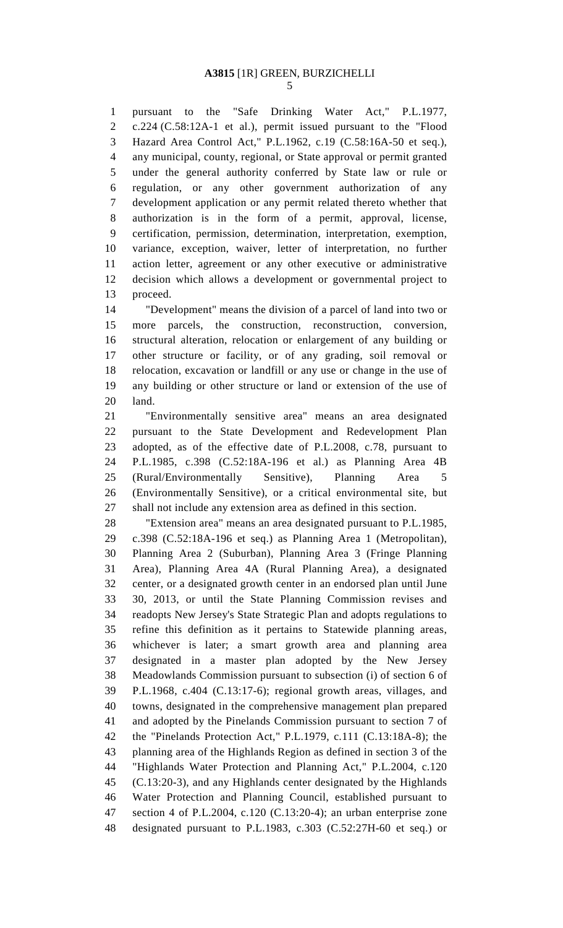1 pursuant to the "Safe Drinking Water Act," P.L.1977, 2 c.224 (C.58:12A-1 et al.), permit issued pursuant to the "Flood 3 Hazard Area Control Act," P.L.1962, c.19 (C.58:16A-50 et seq.), 4 any municipal, county, regional, or State approval or permit granted 5 under the general authority conferred by State law or rule or 6 regulation, or any other government authorization of any 7 development application or any permit related thereto whether that 8 authorization is in the form of a permit, approval, license, 9 certification, permission, determination, interpretation, exemption, 10 variance, exception, waiver, letter of interpretation, no further 11 action letter, agreement or any other executive or administrative 12 decision which allows a development or governmental project to 13 proceed.

14 "Development" means the division of a parcel of land into two or 15 more parcels, the construction, reconstruction, conversion, 16 structural alteration, relocation or enlargement of any building or 17 other structure or facility, or of any grading, soil removal or 18 relocation, excavation or landfill or any use or change in the use of 19 any building or other structure or land or extension of the use of 20 land.

21 "Environmentally sensitive area" means an area designated 22 pursuant to the State Development and Redevelopment Plan 23 adopted, as of the effective date of P.L.2008, c.78, pursuant to 24 P.L.1985, c.398 (C.52:18A-196 et al.) as Planning Area 4B 25 (Rural/Environmentally Sensitive), Planning Area 5 26 (Environmentally Sensitive), or a critical environmental site, but 27 shall not include any extension area as defined in this section.

28 "Extension area" means an area designated pursuant to P.L.1985, 29 c.398 (C.52:18A-196 et seq.) as Planning Area 1 (Metropolitan), 30 Planning Area 2 (Suburban), Planning Area 3 (Fringe Planning 31 Area), Planning Area 4A (Rural Planning Area), a designated 32 center, or a designated growth center in an endorsed plan until June 33 30, 2013, or until the State Planning Commission revises and 34 readopts New Jersey's State Strategic Plan and adopts regulations to 35 refine this definition as it pertains to Statewide planning areas, 36 whichever is later; a smart growth area and planning area 37 designated in a master plan adopted by the New Jersey 38 Meadowlands Commission pursuant to subsection (i) of section 6 of 39 P.L.1968, c.404 (C.13:17-6); regional growth areas, villages, and 40 towns, designated in the comprehensive management plan prepared 41 and adopted by the Pinelands Commission pursuant to section 7 of 42 the "Pinelands Protection Act," P.L.1979, c.111 (C.13:18A-8); the 43 planning area of the Highlands Region as defined in section 3 of the 44 "Highlands Water Protection and Planning Act," P.L.2004, c.120 45 (C.13:20-3), and any Highlands center designated by the Highlands 46 Water Protection and Planning Council, established pursuant to 47 section 4 of P.L.2004, c.120 (C.13:20-4); an urban enterprise zone 48 designated pursuant to P.L.1983, c.303 (C.52:27H-60 et seq.) or